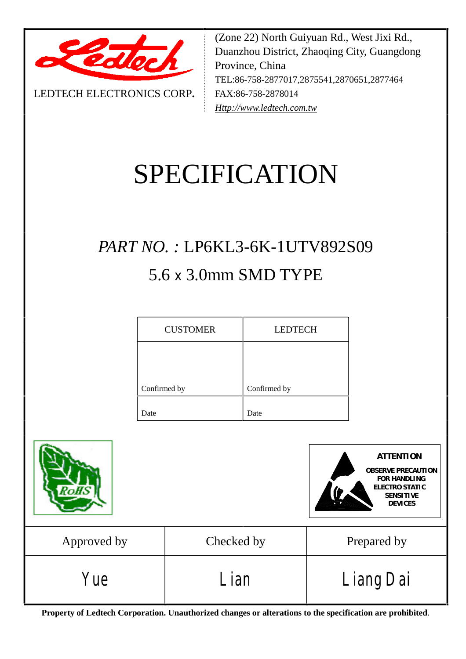

LEDTECH ELECTRONICS CORP**.**

(Zone 22) North Guiyuan Rd., West Jixi Rd., Duanzhou District, Zhaoqing City, Guangdong Province, China TEL:86-758-2877017,2875541,2870651,2877464 FAX:86-758-2878014 *[Http://www.ledtech.com.tw](http://www.ledtech.com.tw)*

# SPECIFICATION

## *PART NO. :* LP6KL3-6K-1UTV892S09 5.6 x 3.0mm SMD TYPE

| <b>CUSTOMER</b> | <b>LEDTECH</b> |
|-----------------|----------------|
|                 |                |
| Confirmed by    | Confirmed by   |
| Date            | Date           |





| Approved by | Checked by  | Prepared by             |
|-------------|-------------|-------------------------|
| Yue         | <i>Lian</i> | <i><b>Liang Dai</b></i> |

**Property of Ledtech Corporation. Unauthorized changes or alterations to the specification are prohibited***.*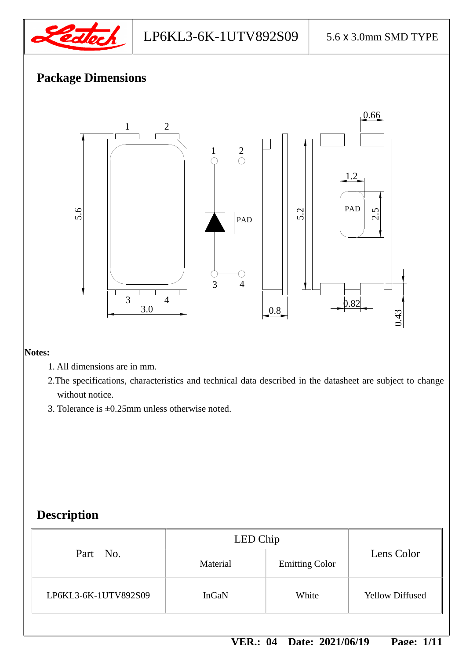

## LP6KL3-6K-1UTV892S09 5.6 x 3.0mm SMD TYPE

## **Package Dimensions**



#### **Notes:**

- 1. All dimensions are in mm.
- 2.The specifications, characteristics and technical data described in the datasheet are subject to change without notice.
- 3. Tolerance is ±0.25mm unless otherwise noted.

## **Description**

|                      | LED Chip |                       |                        |  |
|----------------------|----------|-----------------------|------------------------|--|
| Part No.             | Material | <b>Emitting Color</b> | Lens Color             |  |
| LP6KL3-6K-1UTV892S09 | InGaN    | White                 | <b>Yellow Diffused</b> |  |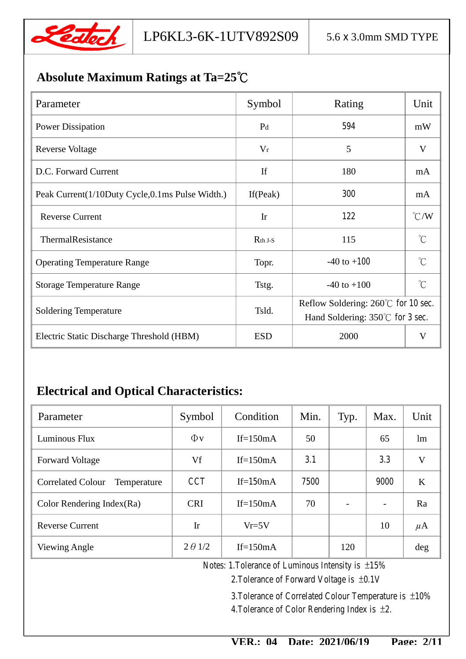

## **Absolute Maximum Ratings at Ta=25**℃

| Parameter                                       | Symbol                 | Rating                                                                                      | Unit           |
|-------------------------------------------------|------------------------|---------------------------------------------------------------------------------------------|----------------|
| <b>Power Dissipation</b>                        | P <sub>d</sub>         | 594                                                                                         | mW             |
| <b>Reverse Voltage</b>                          | $V_r$                  | 5                                                                                           | V              |
| D.C. Forward Current                            | If                     | 180                                                                                         | mA             |
| Peak Current(1/10Duty Cycle,0.1ms Pulse Width.) | If $(Peak)$            | 300                                                                                         | mA             |
| <b>Reverse Current</b>                          | $\mathop{\mathrm{Ir}}$ | 122                                                                                         | $\mathrm{C}/W$ |
| ThermalResistance                               | $Rth$ J-S              | 115                                                                                         | $^{\circ}C$    |
| <b>Operating Temperature Range</b>              | Topr.                  | $-40$ to $+100$                                                                             | $^{\circ}C$    |
| <b>Storage Temperature Range</b>                | Tstg.                  | $-40$ to $+100$                                                                             | $^{\circ}C$    |
| <b>Soldering Temperature</b>                    | Tsld.                  | Reflow Soldering: $260^{\circ}$ C for 10 sec.<br>Hand Soldering: $350^{\circ}$ C for 3 sec. |                |
| Electric Static Discharge Threshold (HBM)       | <b>ESD</b>             | 2000                                                                                        | V              |

## **Electrical and Optical Characteristics:**

| Parameter                               | Symbol         | Condition   | Min. | Typ.                         | Max.                     | Unit    |
|-----------------------------------------|----------------|-------------|------|------------------------------|--------------------------|---------|
| Luminous Flux                           | $\Phi$ v       | If= $150mA$ | 50   |                              | 65                       | lm      |
| <b>Forward Voltage</b>                  | Vf             | If= $150mA$ | 31   |                              | 33                       | V       |
| <b>Correlated Colour</b><br>Temperature | <b>CCT</b>     | If= $150mA$ | 7500 |                              | 9000                     | K       |
| Color Rendering Index $(Ra)$            | <b>CRI</b>     | If= $150mA$ | 70   | $\qquad \qquad \blacksquare$ | $\overline{\phantom{a}}$ | Ra      |
| <b>Reverse Current</b>                  | Ir             | $Vr=5V$     |      |                              | 10                       | $\mu$ A |
| Viewing Angle                           | $2 \theta$ 1/2 | If= $150mA$ |      | 120                          |                          | deg     |

Notes: 1.Tolerance of Luminous Intensity is ±15%

2.Tolerance of Forward Voltage is ±0.1V

3.Tolerance of Correlated Colour Temperature is ±10% 4.Tolerance of Color Rendering Index is ±2.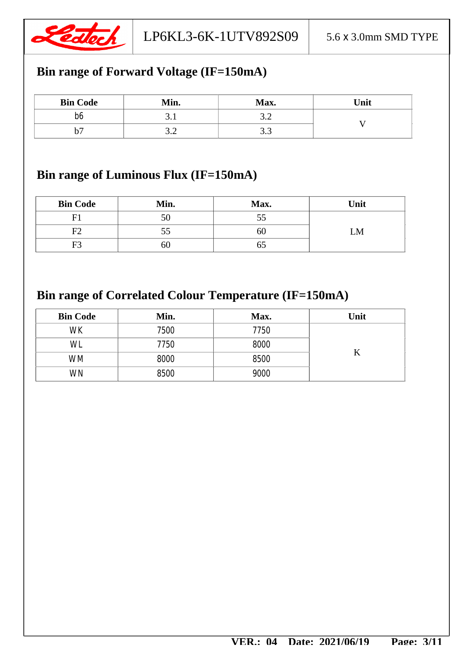

## **Bin range of Forward Voltage (IF=150mA)**

| <b>Bin Code</b> | Min.     | Max. | Unit |
|-----------------|----------|------|------|
| b6              | <u>.</u> | J.L  |      |
| υ.              | ے .      | ن. ب |      |

## **Bin range of Luminous Flux (IF=150mA)**

| <b>Bin Code</b> | Min. | Max. | Unit |
|-----------------|------|------|------|
|                 | 50   |      |      |
| F۲              | СC   | OU   | LM   |
| F3              | 60   |      |      |

## **Bin range of Correlated Colour Temperature (IF=150mA)**

| <b>Bin Code</b> | Min.        | Max.        | Unit |
|-----------------|-------------|-------------|------|
| <b>WK</b>       | 7500        | 7750        |      |
| WL.             | 7750        | 8000        |      |
| <b>WM</b>       | 8000        | <b>8500</b> |      |
| <b>WN</b>       | <b>8500</b> | <b>9000</b> |      |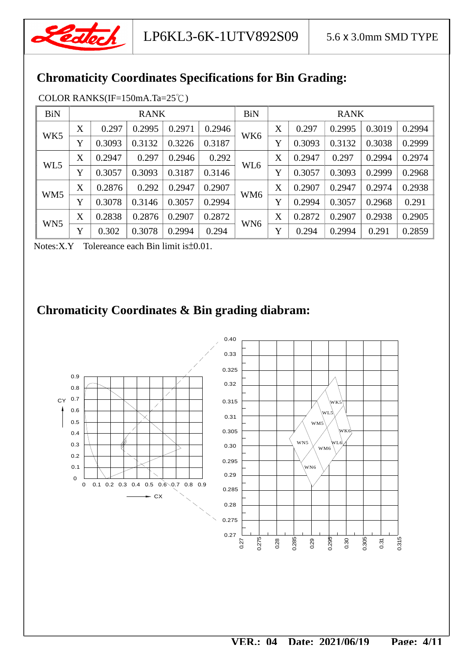

## **Chromaticity Coordinates Specifications for Bin Grading:**

| <b>BiN</b>      | <b>RANK</b> |        |        | <b>BiN</b> | <b>RANK</b> |                 |   |        |        |        |        |
|-----------------|-------------|--------|--------|------------|-------------|-----------------|---|--------|--------|--------|--------|
| WK5             | X           | 0.297  | 0.2995 | 0.2971     | 0.2946      | WK <sub>6</sub> | X | 0.297  | 0.2995 | 0.3019 | 0.2994 |
|                 | Y           | 0.3093 | 0.3132 | 0.3226     | 0.3187      |                 | Y | 0.3093 | 0.3132 | 0.3038 | 0.2999 |
| WL5             | X           | 0.2947 | 0.297  | 0.2946     | 0.292       |                 | X | 0.2947 | 0.297  | 0.2994 | 0.2974 |
|                 | Y           | 0.3057 | 0.3093 | 0.3187     | 0.3146      | WL <sub>6</sub> | Y | 0.3057 | 0.3093 | 0.2999 | 0.2968 |
|                 | X           | 0.2876 | 0.292  | 0.2947     | 0.2907      |                 | X | 0.2907 | 0.2947 | 0.2974 | 0.2938 |
| WM5             | Y           | 0.3078 | 0.3146 | 0.3057     | 0.2994      | WM6             | Y | 0.2994 | 0.3057 | 0.2968 | 0.291  |
| WN <sub>5</sub> | X           | 0.2838 | 0.2876 | 0.2907     | 0.2872      |                 | X | 0.2872 | 0.2907 | 0.2938 | 0.2905 |
|                 | Y           | 0.302  | 0.3078 | 0.2994     | 0.294       | WN <sub>6</sub> | Y | 0.294  | 0.2994 | 0.291  | 0.2859 |

Notes:X.Y Tolereance each Bin limit is±0.01.

## **Chromaticity Coordinates & Bin grading diabram:**

![](_page_4_Figure_8.jpeg)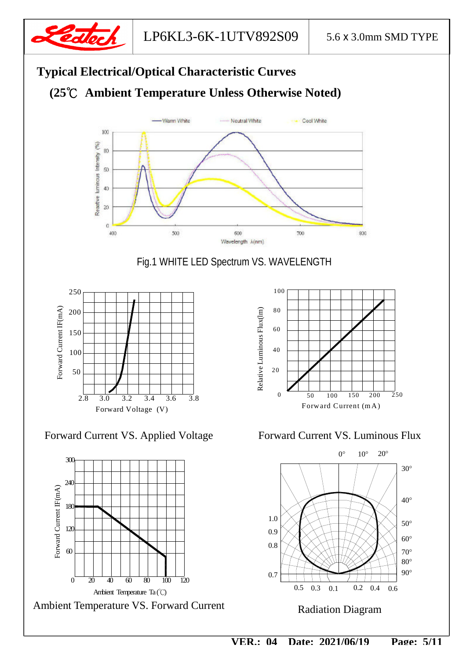![](_page_5_Picture_0.jpeg)

![](_page_5_Figure_3.jpeg)

Fig.1 WHITE LED Spectrum VS. WAVELENGTH

![](_page_5_Figure_5.jpeg)

Forward Current VS. Applied Voltage Forward Current VS. Luminous Flux

![](_page_5_Figure_7.jpeg)

Ambient Temperature VS. Forward Current

![](_page_5_Figure_9.jpeg)

![](_page_5_Figure_11.jpeg)

Radiation Diagram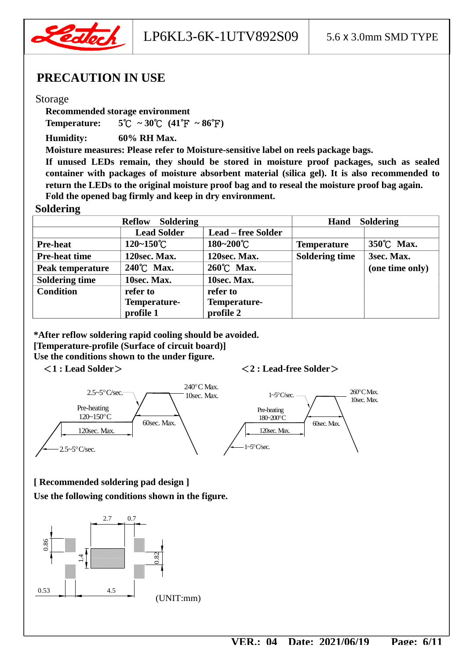![](_page_6_Picture_0.jpeg)

LP6KL3-6K-1UTV892S09  $\vert$  5.6 x 3.0mm SMD TYPE

#### **PRECAUTION IN USE**

#### Storage

**Recommended storage environment** 

**Temperature:**  $5^{\circ}\text{C} \sim 30^{\circ}\text{C}$   $(41^{\circ}\text{F} \sim 86^{\circ}\text{F})$ 

**Humidity: 60% RH Max.** 

**Moisture measures: Please refer to Moisture-sensitive label on reels package bags.** 

**If unused LEDs remain, they should be stored in moisture proof packages, such as sealed container with packages of moisture absorbent material (silica gel). It is also recommended to return the LEDs to the original moisture proof bag and to reseal the moisture proof bag again. Fold the opened bag firmly and keep in dry environment.** 

#### **Soldering**

| Soldering<br><b>Reflow</b> |                       |                           | <b>Soldering</b><br>Hand |                 |
|----------------------------|-----------------------|---------------------------|--------------------------|-----------------|
|                            | <b>Lead Solder</b>    | <b>Lead – free Solder</b> |                          |                 |
| <b>Pre-heat</b>            | $120 - 150^{\circ}$ C | 180~200°C                 | <b>Temperature</b>       | 350°C Max.      |
| <b>Pre-heat time</b>       | 120sec. Max.          | 120sec. Max.              | <b>Soldering time</b>    | 3sec. Max.      |
| Peak temperature           | 240°C Max.            | 260°C Max.                |                          | (one time only) |
| <b>Soldering time</b>      | 10sec. Max.           | 10sec. Max.               |                          |                 |
| <b>Condition</b>           | refer to              | refer to                  |                          |                 |
| Temperature-               |                       | Temperature-              |                          |                 |
|                            | profile 1             | profile 2                 |                          |                 |

**\*After reflow soldering rapid cooling should be avoided. [Temperature-profile (Surface of circuit board)] Use the conditions shown to the under figure.** 

#### <**1 : Lead Solder**><**2 : Lead-free Solder**>

![](_page_6_Figure_15.jpeg)

 **[ Recommended soldering pad design ] Use the following conditions shown in the figure.**

![](_page_6_Figure_17.jpeg)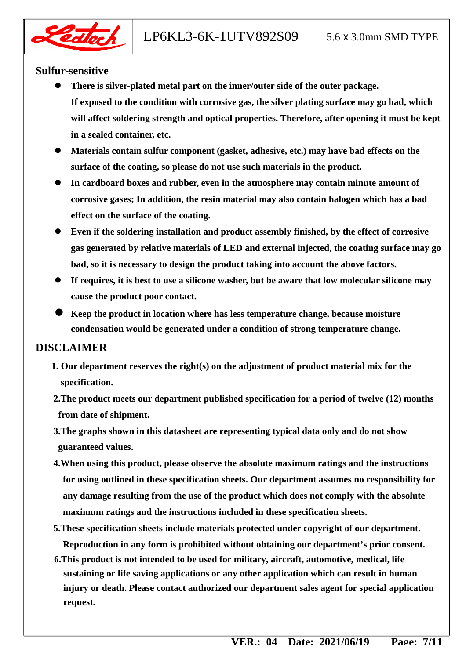![](_page_7_Picture_2.jpeg)

#### **Sulfur-sensitive**

- **There is silver-plated metal part on the inner/outer side of the outer package. If exposed to the condition with corrosive gas, the silver plating surface may go bad, which will affect soldering strength and optical properties. Therefore, after opening it must be kept in a sealed container, etc.**
- **Materials contain sulfur component (gasket, adhesive, etc.) may have bad effects on the surface of the coating, so please do not use such materials in the product.**
- **In cardboard boxes and rubber, even in the atmosphere may contain minute amount of corrosive gases; In addition, the resin material may also contain halogen which has a bad effect on the surface of the coating.**
- **Even if the soldering installation and product assembly finished, by the effect of corrosive gas generated by relative materials of LED and external injected, the coating surface may go bad, so it is necessary to design the product taking into account the above factors.**
- **If requires, it is best to use a silicone washer, but be aware that low molecular silicone may cause the product poor contact.**
- **Keep the product in location where has less temperature change, because moisture condensation would be generated under a condition of strong temperature change.**

#### **DISCLAIMER**

- **1. Our department reserves the right(s) on the adjustment of product material mix for the specification.**
- **2.The product meets our department published specification for a period of twelve (12) months from date of shipment.**
- **3.The graphs shown in this datasheet are representing typical data only and do not show guaranteed values.**
- **4.When using this product, please observe the absolute maximum ratings and the instructions for using outlined in these specification sheets. Our department assumes no responsibility for any damage resulting from the use of the product which does not comply with the absolute maximum ratings and the instructions included in these specification sheets.**
- **5.These specification sheets include materials protected under copyright of our department. Reproduction in any form is prohibited without obtaining our department's prior consent.**
- **6.This product is not intended to be used for military, aircraft, automotive, medical, life sustaining or life saving applications or any other application which can result in human injury or death. Please contact authorized our department sales agent for special application request.**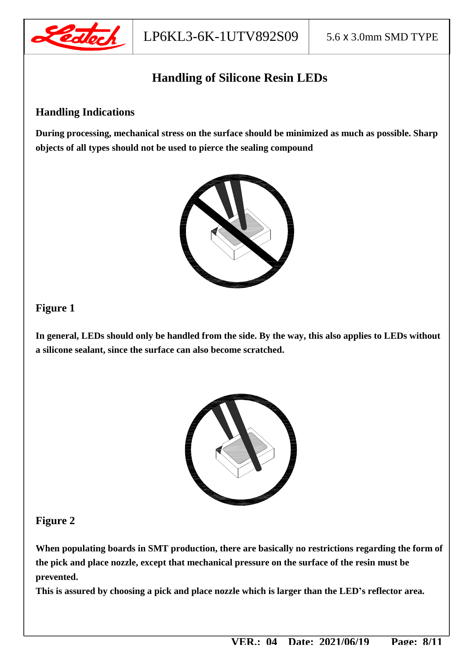![](_page_8_Picture_0.jpeg)

## **Handling of Silicone Resin LEDs**

#### **Handling Indications**

**During processing, mechanical stress on the surface should be minimized as much as possible. Sharp objects of all types should not be used to pierce the sealing compound** 

![](_page_8_Picture_6.jpeg)

#### **Figure 1**

**In general, LEDs should only be handled from the side. By the way, this also applies to LEDs without a silicone sealant, since the surface can also become scratched.** 

![](_page_8_Picture_9.jpeg)

#### **Figure 2**

**When populating boards in SMT production, there are basically no restrictions regarding the form of the pick and place nozzle, except that mechanical pressure on the surface of the resin must be prevented.** 

**This is assured by choosing a pick and place nozzle which is larger than the LED's reflector area.**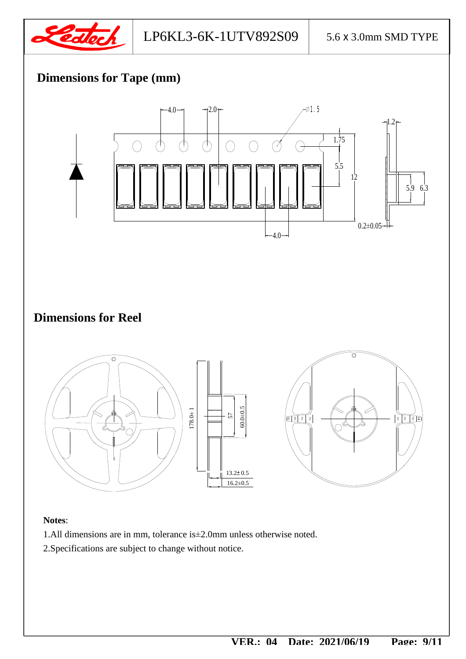![](_page_9_Picture_0.jpeg)

## **Dimensions for Tape (mm)**

![](_page_9_Figure_4.jpeg)

#### **Notes**:

- 1.All dimensions are in mm, tolerance is±2.0mm unless otherwise noted.
- 2.Specifications are subject to change without notice.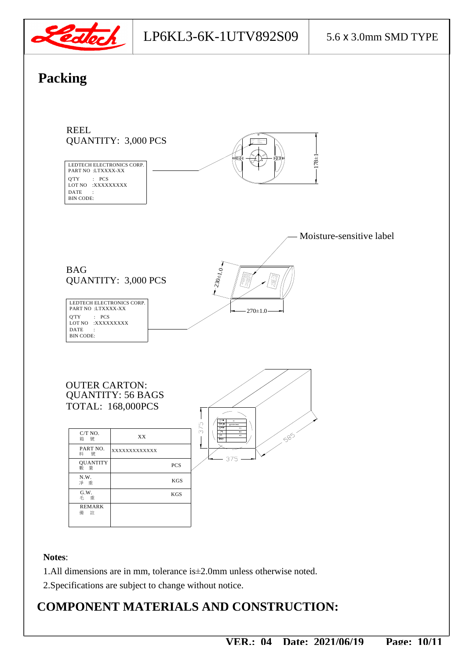![](_page_10_Picture_0.jpeg)

### LP6KL3-6K-1UTV892S09 5.6 x 3.0mm SMD TYPE

## **Packing**

![](_page_10_Figure_4.jpeg)

## **COMPONENT MATERIALS AND CONSTRUCTION:**